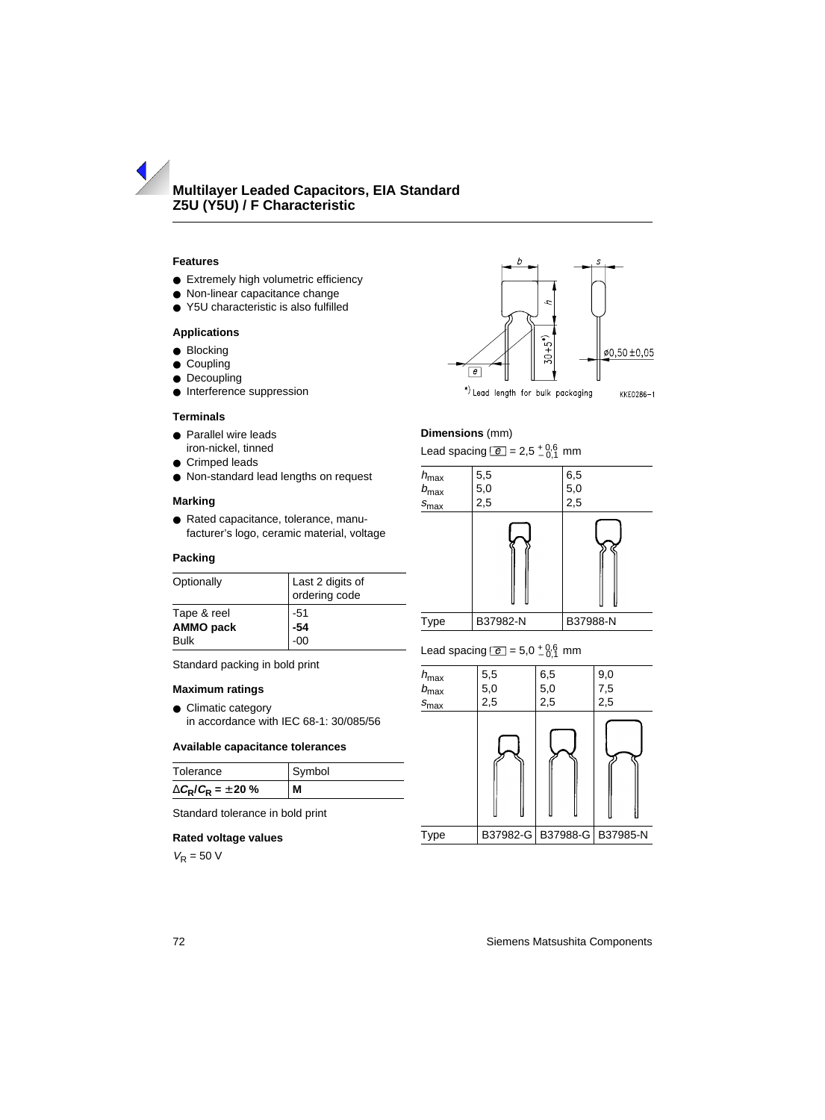# **Features**

- Extremely high volumetric efficiency
- Non-linear capacitance change
- Y5U characteristic is also fulfilled

## **Applications**

- Blocking
- Coupling
- <span id="page-0-0"></span>● Decoupling
- Interference suppression

#### **Terminals**

- Parallel wire leads iron-nickel, tinned
- Crimped leads
- Non-standard lead lengths on request

## **Marking**

● Rated capacitance, tolerance, manufacturer's logo, ceramic material, voltage

#### **Packing**

| Optionally  | Last 2 digits of<br>ordering code |
|-------------|-----------------------------------|
| Tape & reel | $-51$                             |
| AMMO pack   | $-54$<br>$-00$                    |
| Bulk        |                                   |
|             |                                   |

Standard packing in bold print

#### **Maximum ratings**

● Climatic category in accordance with IEC 68-1: 30/085/56

## **Available capacitance tolerances**

| Tolerance                               | Symbol |  |  |
|-----------------------------------------|--------|--|--|
| $\Delta C_{\rm R}/C_{\rm R} = \pm 20$ % | м      |  |  |

Standard tolerance in bold print

#### **Rated voltage values**

 $V_R = 50 V$ 



\*) Lead length for bulk packaging KKE0286-1

# **Dimensions** (mm)

Lead spacing  $\boxed{e}$  = 2,5  $^{+0.6}_{-0.1}$  mm



# Lead spacing  $\boxed{e} = 5.0 \pm 0.6$  mm

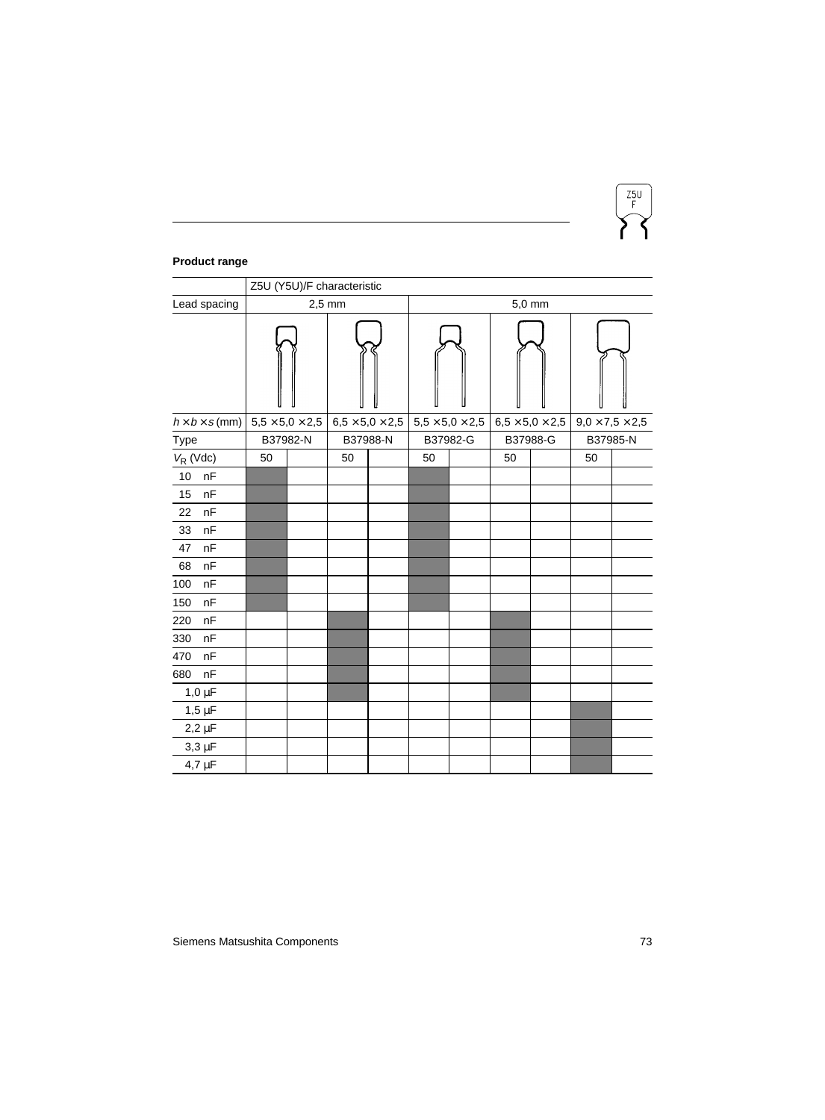

# **Product range**

|                            | Z5U (Y5U)/F characteristic |                             |                             |          |                             |  |                                   |  |                             |  |
|----------------------------|----------------------------|-----------------------------|-----------------------------|----------|-----------------------------|--|-----------------------------------|--|-----------------------------|--|
| Lead spacing               | $2,5$ mm                   |                             |                             | $5,0$ mm |                             |  |                                   |  |                             |  |
|                            |                            |                             |                             |          |                             |  |                                   |  |                             |  |
| $h \times b \times s$ (mm) |                            | $5.5 \times 5.0 \times 2.5$ | $6.5 \times 5.0 \times 2.5$ |          | $5.5 \times 5.0 \times 2.5$ |  | $6,\!5 \times 5,\!0 \times 2,\!5$ |  | $9.0 \times 7.5 \times 2.5$ |  |
| Type                       |                            | B37982-N                    | B37988-N                    |          | B37982-G                    |  | B37988-G                          |  | B37985-N                    |  |
| $V_R$ (Vdc)                | 50                         |                             | 50                          |          | 50                          |  | 50                                |  | 50                          |  |
| nF<br>10                   |                            |                             |                             |          |                             |  |                                   |  |                             |  |
| nF<br>15                   |                            |                             |                             |          |                             |  |                                   |  |                             |  |
| 22<br>nF                   |                            |                             |                             |          |                             |  |                                   |  |                             |  |
| nF<br>33                   |                            |                             |                             |          |                             |  |                                   |  |                             |  |
| nF<br>47                   |                            |                             |                             |          |                             |  |                                   |  |                             |  |
| nF<br>68                   |                            |                             |                             |          |                             |  |                                   |  |                             |  |
| 100<br>nF                  |                            |                             |                             |          |                             |  |                                   |  |                             |  |
| nF<br>150                  |                            |                             |                             |          |                             |  |                                   |  |                             |  |
| 220<br>nF                  |                            |                             |                             |          |                             |  |                                   |  |                             |  |
| 330<br>nF                  |                            |                             |                             |          |                             |  |                                   |  |                             |  |
| nF<br>470                  |                            |                             |                             |          |                             |  |                                   |  |                             |  |
| nF<br>680                  |                            |                             |                             |          |                             |  |                                   |  |                             |  |
| $1,0 \mu F$                |                            |                             |                             |          |                             |  |                                   |  |                             |  |
| $1,5\ \mu F$               |                            |                             |                             |          |                             |  |                                   |  |                             |  |
| $2,2 \mu F$                |                            |                             |                             |          |                             |  |                                   |  |                             |  |
| $3,3 \mu F$                |                            |                             |                             |          |                             |  |                                   |  |                             |  |
| $4,7 \mu F$                |                            |                             |                             |          |                             |  |                                   |  |                             |  |